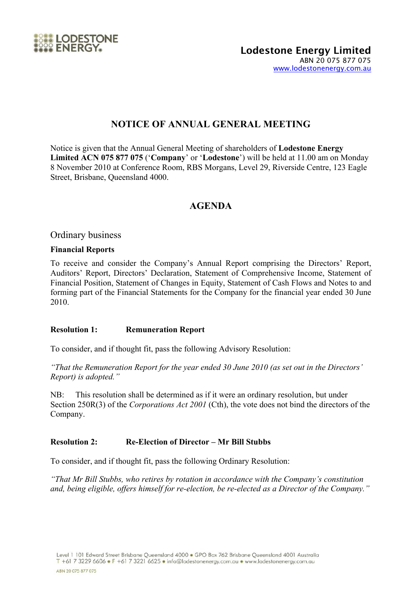

# **NOTICE OF ANNUAL GENERAL MEETING**

Notice is given that the Annual General Meeting of shareholders of **Lodestone Energy Limited ACN 075 877 075** ('**Company**' or '**Lodestone**') will be held at 11.00 am on Monday 8 November 2010 at Conference Room, RBS Morgans, Level 29, Riverside Centre, 123 Eagle Street, Brisbane, Queensland 4000.

# **AGENDA**

Ordinary business

#### **Financial Reports**

To receive and consider the Company's Annual Report comprising the Directors' Report, Auditors' Report, Directors' Declaration, Statement of Comprehensive Income, Statement of Financial Position, Statement of Changes in Equity, Statement of Cash Flows and Notes to and forming part of the Financial Statements for the Company for the financial year ended 30 June 2010.

# **Resolution 1: Remuneration Report**

To consider, and if thought fit, pass the following Advisory Resolution:

*"That the Remuneration Report for the year ended 30 June 2010 (as set out in the Directors' Report) is adopted."*

NB: This resolution shall be determined as if it were an ordinary resolution, but under Section 250R(3) of the *Corporations Act 2001* (Cth), the vote does not bind the directors of the Company.

# **Resolution 2: Re-Election of Director – Mr Bill Stubbs**

To consider, and if thought fit, pass the following Ordinary Resolution:

*"That Mr Bill Stubbs, who retires by rotation in accordance with the Company's constitution and, being eligible, offers himself for re-election, be re-elected as a Director of the Company."*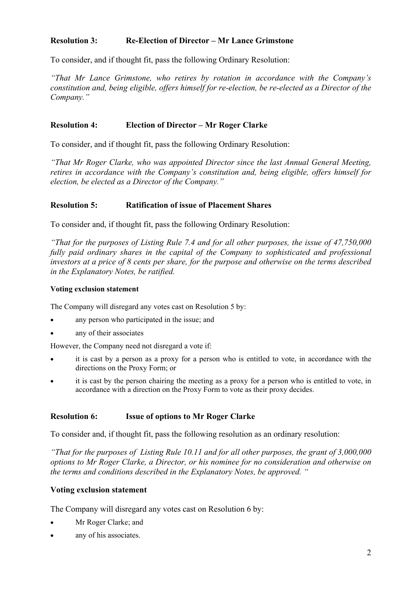# **Resolution 3: Re-Election of Director – Mr Lance Grimstone**

To consider, and if thought fit, pass the following Ordinary Resolution:

*"That Mr Lance Grimstone, who retires by rotation in accordance with the Company's constitution and, being eligible, offers himself for re-election, be re-elected as a Director of the Company."* 

# **Resolution 4: Election of Director – Mr Roger Clarke**

To consider, and if thought fit, pass the following Ordinary Resolution:

*"That Mr Roger Clarke, who was appointed Director since the last Annual General Meeting, retires in accordance with the Company's constitution and, being eligible, offers himself for election, be elected as a Director of the Company."*

#### **Resolution 5: Ratification of issue of Placement Shares**

To consider and, if thought fit, pass the following Ordinary Resolution:

*"That for the purposes of Listing Rule 7.4 and for all other purposes, the issue of 47,750,000 fully paid ordinary shares in the capital of the Company to sophisticated and professional investors at a price of 8 cents per share, for the purpose and otherwise on the terms described in the Explanatory Notes, be ratified.* 

#### **Voting exclusion statement**

The Company will disregard any votes cast on Resolution 5 by:

- any person who participated in the issue; and
- any of their associates

However, the Company need not disregard a vote if:

- it is cast by a person as a proxy for a person who is entitled to vote, in accordance with the directions on the Proxy Form; or
- it is cast by the person chairing the meeting as a proxy for a person who is entitled to vote, in accordance with a direction on the Proxy Form to vote as their proxy decides.

#### **Resolution 6: Issue of options to Mr Roger Clarke**

To consider and, if thought fit, pass the following resolution as an ordinary resolution:

*"That for the purposes of Listing Rule 10.11 and for all other purposes, the grant of 3,000,000 options to Mr Roger Clarke, a Director, or his nominee for no consideration and otherwise on the terms and conditions described in the Explanatory Notes, be approved. "* 

#### **Voting exclusion statement**

The Company will disregard any votes cast on Resolution 6 by:

- Mr Roger Clarke; and
- any of his associates.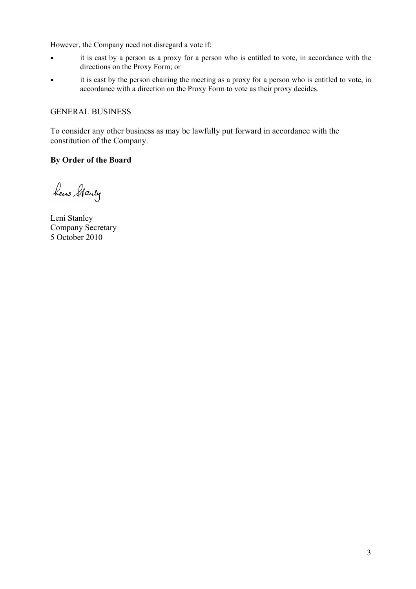However, the Company need not disregard a vote if:

- it is cast by a person as a proxy for a person who is entitled to vote, in accordance with the directions on the Proxy Form; or
- it is cast by the person chairing the meeting as a proxy for a person who is entitled to vote, in accordance with a direction on the Proxy Form to vote as their proxy decides.

### GENERAL BUSINESS

To consider any other business as may be lawfully put forward in accordance with the constitution of the Company.

# **By Order of the Board**

hew Starty

Leni Stanley Company Secretary 5 October 2010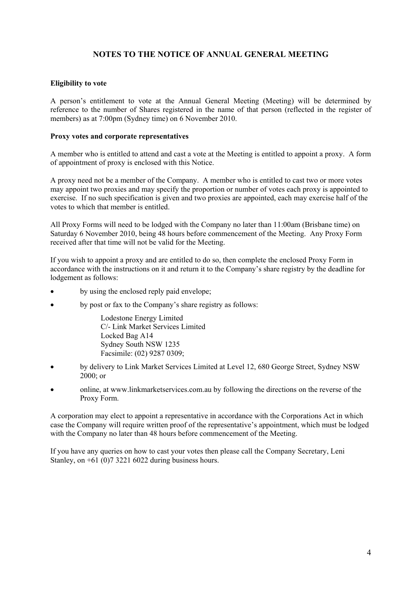# **NOTES TO THE NOTICE OF ANNUAL GENERAL MEETING**

#### **Eligibility to vote**

A person's entitlement to vote at the Annual General Meeting (Meeting) will be determined by reference to the number of Shares registered in the name of that person (reflected in the register of members) as at 7:00pm (Sydney time) on 6 November 2010.

#### **Proxy votes and corporate representatives**

A member who is entitled to attend and cast a vote at the Meeting is entitled to appoint a proxy. A form of appointment of proxy is enclosed with this Notice.

A proxy need not be a member of the Company. A member who is entitled to cast two or more votes may appoint two proxies and may specify the proportion or number of votes each proxy is appointed to exercise. If no such specification is given and two proxies are appointed, each may exercise half of the votes to which that member is entitled.

All Proxy Forms will need to be lodged with the Company no later than 11:00am (Brisbane time) on Saturday 6 November 2010, being 48 hours before commencement of the Meeting. Any Proxy Form received after that time will not be valid for the Meeting.

If you wish to appoint a proxy and are entitled to do so, then complete the enclosed Proxy Form in accordance with the instructions on it and return it to the Company's share registry by the deadline for lodgement as follows:

- by using the enclosed reply paid envelope;
- by post or fax to the Company's share registry as follows:

Lodestone Energy Limited C/- Link Market Services Limited Locked Bag A14 Sydney South NSW 1235 Facsimile: (02) 9287 0309;

- by delivery to Link Market Services Limited at Level 12, 680 George Street, Sydney NSW 2000; or
- online, at www.linkmarketservices.com.au by following the directions on the reverse of the Proxy Form.

A corporation may elect to appoint a representative in accordance with the Corporations Act in which case the Company will require written proof of the representative's appointment, which must be lodged with the Company no later than 48 hours before commencement of the Meeting.

If you have any queries on how to cast your votes then please call the Company Secretary, Leni Stanley, on  $+61$  (0)7 3221 6022 during business hours.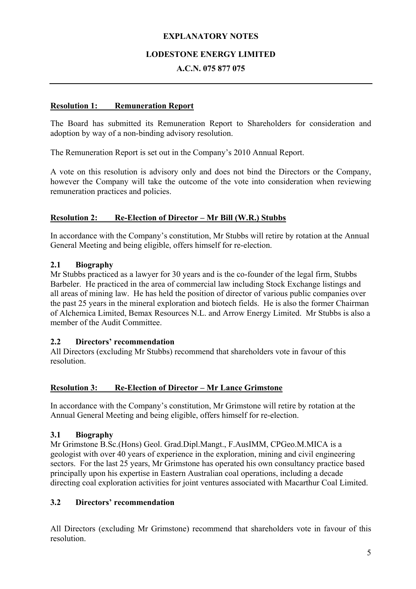#### **EXPLANATORY NOTES**

#### **LODESTONE ENERGY LIMITED**

#### **A.C.N. 075 877 075**

#### **Resolution 1: Remuneration Report**

The Board has submitted its Remuneration Report to Shareholders for consideration and adoption by way of a non-binding advisory resolution.

The Remuneration Report is set out in the Company's 2010 Annual Report.

A vote on this resolution is advisory only and does not bind the Directors or the Company, however the Company will take the outcome of the vote into consideration when reviewing remuneration practices and policies.

#### **Resolution 2: Re-Election of Director – Mr Bill (W.R.) Stubbs**

In accordance with the Company's constitution, Mr Stubbs will retire by rotation at the Annual General Meeting and being eligible, offers himself for re-election.

#### **2.1 Biography**

Mr Stubbs practiced as a lawyer for 30 years and is the co-founder of the legal firm, Stubbs Barbeler. He practiced in the area of commercial law including Stock Exchange listings and all areas of mining law. He has held the position of director of various public companies over the past 25 years in the mineral exploration and biotech fields. He is also the former Chairman of Alchemica Limited, Bemax Resources N.L. and Arrow Energy Limited. Mr Stubbs is also a member of the Audit Committee.

#### **2.2 Directors' recommendation**

All Directors (excluding Mr Stubbs) recommend that shareholders vote in favour of this resolution.

#### **Resolution 3: Re-Election of Director – Mr Lance Grimstone**

In accordance with the Company's constitution, Mr Grimstone will retire by rotation at the Annual General Meeting and being eligible, offers himself for re-election.

# **3.1 Biography**

Mr Grimstone B.Sc.(Hons) Geol. Grad.Dipl.Mangt., F.AusIMM, CPGeo.M.MICA is a geologist with over 40 years of experience in the exploration, mining and civil engineering sectors. For the last 25 years, Mr Grimstone has operated his own consultancy practice based principally upon his expertise in Eastern Australian coal operations, including a decade directing coal exploration activities for joint ventures associated with Macarthur Coal Limited.

# **3.2 Directors' recommendation**

All Directors (excluding Mr Grimstone) recommend that shareholders vote in favour of this resolution.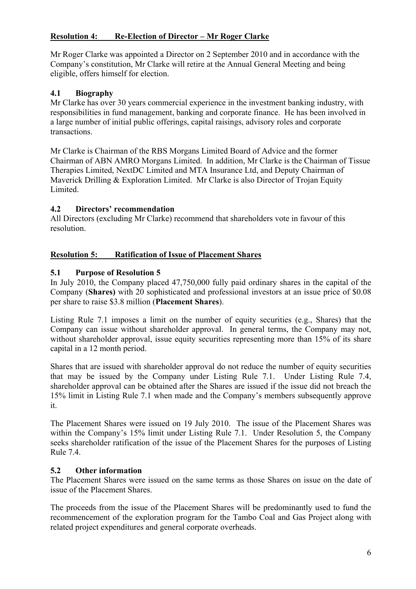# **Resolution 4: Re-Election of Director – Mr Roger Clarke**

Mr Roger Clarke was appointed a Director on 2 September 2010 and in accordance with the Company's constitution, Mr Clarke will retire at the Annual General Meeting and being eligible, offers himself for election.

# **4.1 Biography**

Mr Clarke has over 30 years commercial experience in the investment banking industry, with responsibilities in fund management, banking and corporate finance. He has been involved in a large number of initial public offerings, capital raisings, advisory roles and corporate transactions.

Mr Clarke is Chairman of the RBS Morgans Limited Board of Advice and the former Chairman of ABN AMRO Morgans Limited. In addition, Mr Clarke is the Chairman of Tissue Therapies Limited, NextDC Limited and MTA Insurance Ltd, and Deputy Chairman of Maverick Drilling & Exploration Limited. Mr Clarke is also Director of Trojan Equity Limited.

# **4.2 Directors' recommendation**

All Directors (excluding Mr Clarke) recommend that shareholders vote in favour of this resolution.

# **Resolution 5: Ratification of Issue of Placement Shares**

# **5.1 Purpose of Resolution 5**

In July 2010, the Company placed 47,750,000 fully paid ordinary shares in the capital of the Company (**Shares)** with 20 sophisticated and professional investors at an issue price of \$0.08 per share to raise \$3.8 million (**Placement Shares**).

Listing Rule 7.1 imposes a limit on the number of equity securities (e.g., Shares) that the Company can issue without shareholder approval. In general terms, the Company may not, without shareholder approval, issue equity securities representing more than 15% of its share capital in a 12 month period.

Shares that are issued with shareholder approval do not reduce the number of equity securities that may be issued by the Company under Listing Rule 7.1. Under Listing Rule 7.4, shareholder approval can be obtained after the Shares are issued if the issue did not breach the 15% limit in Listing Rule 7.1 when made and the Company's members subsequently approve it.

The Placement Shares were issued on 19 July 2010. The issue of the Placement Shares was within the Company's 15% limit under Listing Rule 7.1. Under Resolution 5, the Company seeks shareholder ratification of the issue of the Placement Shares for the purposes of Listing Rule 7.4.

# **5.2 Other information**

The Placement Shares were issued on the same terms as those Shares on issue on the date of issue of the Placement Shares.

The proceeds from the issue of the Placement Shares will be predominantly used to fund the recommencement of the exploration program for the Tambo Coal and Gas Project along with related project expenditures and general corporate overheads.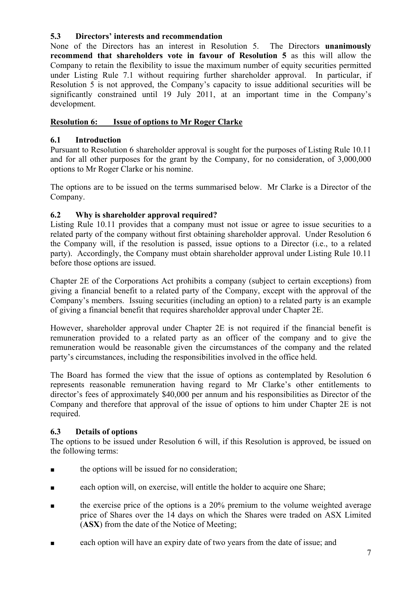# **5.3 Directors' interests and recommendation**

None of the Directors has an interest in Resolution 5. The Directors **unanimously recommend that shareholders vote in favour of Resolution 5** as this will allow the Company to retain the flexibility to issue the maximum number of equity securities permitted under Listing Rule 7.1 without requiring further shareholder approval. In particular, if Resolution 5 is not approved, the Company's capacity to issue additional securities will be significantly constrained until 19 July 2011, at an important time in the Company's development.

# **Resolution 6: Issue of options to Mr Roger Clarke**

# **6.1 Introduction**

Pursuant to Resolution 6 shareholder approval is sought for the purposes of Listing Rule 10.11 and for all other purposes for the grant by the Company, for no consideration, of 3,000,000 options to Mr Roger Clarke or his nomine.

The options are to be issued on the terms summarised below. Mr Clarke is a Director of the Company.

# **6.2 Why is shareholder approval required?**

Listing Rule 10.11 provides that a company must not issue or agree to issue securities to a related party of the company without first obtaining shareholder approval. Under Resolution 6 the Company will, if the resolution is passed, issue options to a Director (i.e., to a related party). Accordingly, the Company must obtain shareholder approval under Listing Rule 10.11 before those options are issued.

Chapter 2E of the Corporations Act prohibits a company (subject to certain exceptions) from giving a financial benefit to a related party of the Company, except with the approval of the Company's members. Issuing securities (including an option) to a related party is an example of giving a financial benefit that requires shareholder approval under Chapter 2E.

However, shareholder approval under Chapter 2E is not required if the financial benefit is remuneration provided to a related party as an officer of the company and to give the remuneration would be reasonable given the circumstances of the company and the related party's circumstances, including the responsibilities involved in the office held.

The Board has formed the view that the issue of options as contemplated by Resolution 6 represents reasonable remuneration having regard to Mr Clarke's other entitlements to director's fees of approximately \$40,000 per annum and his responsibilities as Director of the Company and therefore that approval of the issue of options to him under Chapter 2E is not required.

# **6.3 Details of options**

The options to be issued under Resolution 6 will, if this Resolution is approved, be issued on the following terms:

- the options will be issued for no consideration;
- each option will, on exercise, will entitle the holder to acquire one Share;
- the exercise price of the options is a  $20\%$  premium to the volume weighted average price of Shares over the 14 days on which the Shares were traded on ASX Limited (**ASX**) from the date of the Notice of Meeting;
- each option will have an expiry date of two years from the date of issue; and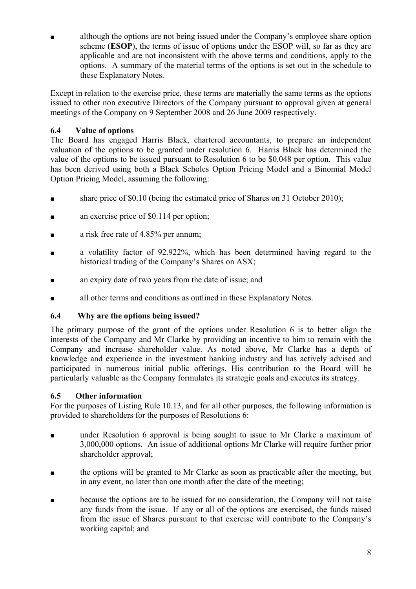although the options are not being issued under the Company's employee share option scheme (**ESOP**), the terms of issue of options under the ESOP will, so far as they are applicable and are not inconsistent with the above terms and conditions, apply to the options. A summary of the material terms of the options is set out in the schedule to these Explanatory Notes.

Except in relation to the exercise price, these terms are materially the same terms as the options issued to other non executive Directors of the Company pursuant to approval given at general meetings of the Company on 9 September 2008 and 26 June 2009 respectively.

# **6.4 Value of options**

The Board has engaged Harris Black, chartered accountants, to prepare an independent valuation of the options to be granted under resolution 6. Harris Black has determined the value of the options to be issued pursuant to Resolution 6 to be \$0.048 per option.This value has been derived using both a Black Scholes Option Pricing Model and a Binomial Model Option Pricing Model, assuming the following:

- share price of  $$0.10$  (being the estimated price of Shares on 31 October 2010);
- an exercise price of \$0.114 per option;
- a risk free rate of 4.85% per annum;
- a volatility factor of 92.922%, which has been determined having regard to the historical trading of the Company's Shares on ASX;
- an expiry date of two years from the date of issue; and
- all other terms and conditions as outlined in these Explanatory Notes.

# **6.4 Why are the options being issued?**

The primary purpose of the grant of the options under Resolution 6 is to better align the interests of the Company and Mr Clarke by providing an incentive to him to remain with the Company and increase shareholder value. As noted above, Mr Clarke has a depth of knowledge and experience in the investment banking industry and has actively advised and participated in numerous initial public offerings. His contribution to the Board will be particularly valuable as the Company formulates its strategic goals and executes its strategy.

# **6.5 Other information**

For the purposes of Listing Rule 10.13, and for all other purposes, the following information is provided to shareholders for the purposes of Resolutions 6:

- under Resolution 6 approval is being sought to issue to Mr Clarke a maximum of 3,000,000 options. An issue of additional options Mr Clarke will require further prior shareholder approval;
- the options will be granted to Mr Clarke as soon as practicable after the meeting, but in any event, no later than one month after the date of the meeting;
- because the options are to be issued for no consideration, the Company will not raise any funds from the issue. If any or all of the options are exercised, the funds raised from the issue of Shares pursuant to that exercise will contribute to the Company's working capital; and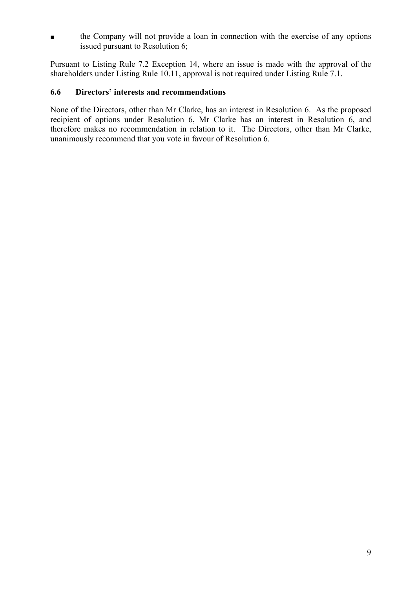■ the Company will not provide a loan in connection with the exercise of any options issued pursuant to Resolution 6;

Pursuant to Listing Rule 7.2 Exception 14, where an issue is made with the approval of the shareholders under Listing Rule 10.11, approval is not required under Listing Rule 7.1.

### **6.6 Directors' interests and recommendations**

None of the Directors, other than Mr Clarke, has an interest in Resolution 6. As the proposed recipient of options under Resolution 6, Mr Clarke has an interest in Resolution 6, and therefore makes no recommendation in relation to it. The Directors, other than Mr Clarke, unanimously recommend that you vote in favour of Resolution 6.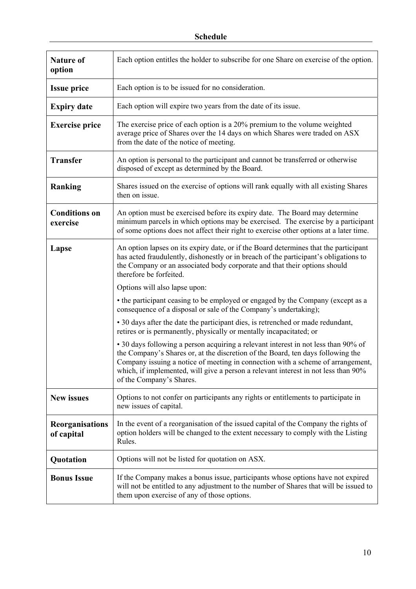| <b>Nature of</b><br>option           | Each option entitles the holder to subscribe for one Share on exercise of the option.                                                                                                                                                                                                                                                                                      |  |  |  |  |  |
|--------------------------------------|----------------------------------------------------------------------------------------------------------------------------------------------------------------------------------------------------------------------------------------------------------------------------------------------------------------------------------------------------------------------------|--|--|--|--|--|
| <b>Issue price</b>                   | Each option is to be issued for no consideration.                                                                                                                                                                                                                                                                                                                          |  |  |  |  |  |
| <b>Expiry date</b>                   | Each option will expire two years from the date of its issue.                                                                                                                                                                                                                                                                                                              |  |  |  |  |  |
| <b>Exercise price</b>                | The exercise price of each option is a 20% premium to the volume weighted<br>average price of Shares over the 14 days on which Shares were traded on ASX<br>from the date of the notice of meeting.                                                                                                                                                                        |  |  |  |  |  |
| <b>Transfer</b>                      | An option is personal to the participant and cannot be transferred or otherwise<br>disposed of except as determined by the Board.                                                                                                                                                                                                                                          |  |  |  |  |  |
| <b>Ranking</b>                       | Shares issued on the exercise of options will rank equally with all existing Shares<br>then on issue.                                                                                                                                                                                                                                                                      |  |  |  |  |  |
| <b>Conditions on</b><br>exercise     | An option must be exercised before its expiry date. The Board may determine<br>minimum parcels in which options may be exercised. The exercise by a participant<br>of some options does not affect their right to exercise other options at a later time.                                                                                                                  |  |  |  |  |  |
| Lapse                                | An option lapses on its expiry date, or if the Board determines that the participant<br>has acted fraudulently, dishonestly or in breach of the participant's obligations to<br>the Company or an associated body corporate and that their options should<br>therefore be forfeited.                                                                                       |  |  |  |  |  |
|                                      | Options will also lapse upon:                                                                                                                                                                                                                                                                                                                                              |  |  |  |  |  |
|                                      | • the participant ceasing to be employed or engaged by the Company (except as a<br>consequence of a disposal or sale of the Company's undertaking);                                                                                                                                                                                                                        |  |  |  |  |  |
|                                      | • 30 days after the date the participant dies, is retrenched or made redundant,<br>retires or is permanently, physically or mentally incapacitated; or                                                                                                                                                                                                                     |  |  |  |  |  |
|                                      | • 30 days following a person acquiring a relevant interest in not less than 90% of<br>the Company's Shares or, at the discretion of the Board, ten days following the<br>Company issuing a notice of meeting in connection with a scheme of arrangement,<br>which, if implemented, will give a person a relevant interest in not less than 90%<br>of the Company's Shares. |  |  |  |  |  |
| <b>New issues</b>                    | Options to not confer on participants any rights or entitlements to participate in<br>new issues of capital.                                                                                                                                                                                                                                                               |  |  |  |  |  |
| <b>Reorganisations</b><br>of capital | In the event of a reorganisation of the issued capital of the Company the rights of<br>option holders will be changed to the extent necessary to comply with the Listing<br>Rules.                                                                                                                                                                                         |  |  |  |  |  |
| Quotation                            | Options will not be listed for quotation on ASX.                                                                                                                                                                                                                                                                                                                           |  |  |  |  |  |
| <b>Bonus Issue</b>                   | If the Company makes a bonus issue, participants whose options have not expired<br>will not be entitled to any adjustment to the number of Shares that will be issued to<br>them upon exercise of any of those options.                                                                                                                                                    |  |  |  |  |  |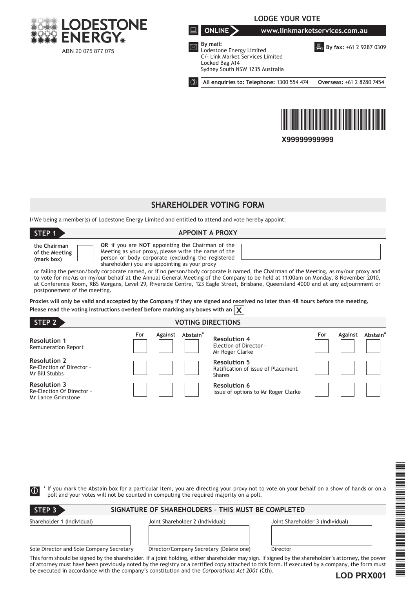

**LODGE YOUR VOTE**

**ONLINE www.linkmarketservices.com.au**

**B** By fax: +61 2 9287 0309



 **By mail:** Lodestone Energy Limited C/- Link Market Services Limited Locked Bag A14 Sydney South NSW 1235 Australia **All enquiries to: Telephone:** 1300 554 474 **Overseas:** +61 2 8280 7454



**X99999999999**

# **ShareHOLDER VOTING FORM**

I/We being a member(s) of Lodestone Energy Limited and entitled to attend and vote hereby appoint:

| STEP 1                                                                                                                                                                                                                                                                                                                                                                                                                                           | <b>APPOINT A PROXY</b> |  |                  |                                                                            |     |  |                  |  |  |
|--------------------------------------------------------------------------------------------------------------------------------------------------------------------------------------------------------------------------------------------------------------------------------------------------------------------------------------------------------------------------------------------------------------------------------------------------|------------------------|--|------------------|----------------------------------------------------------------------------|-----|--|------------------|--|--|
| OR if you are NOT appointing the Chairman of the<br>the Chairman<br>Meeting as your proxy, please write the name of the<br>of the Meeting<br>person or body corporate (excluding the registered<br>(mark box)<br>shareholder) you are appointing as your proxy                                                                                                                                                                                   |                        |  |                  |                                                                            |     |  |                  |  |  |
| or failing the person/body corporate named, or if no person/body corporate is named, the Chairman of the Meeting, as my/our proxy and<br>to vote for me/us on my/our behalf at the Annual General Meeting of the Company to be held at 11:00am on Monday, 8 November 2010,<br>at Conference Room, RBS Morgans, Level 29, Riverside Centre, 123 Eagle Street, Brisbane, Queensland 4000 and at any adjournment or<br>postponement of the meeting. |                        |  |                  |                                                                            |     |  |                  |  |  |
| Proxies will only be valid and accepted by the Company if they are signed and received no later than 48 hours before the meeting.<br>Please read the voting instructions overleaf before marking any boxes with an $\mathbf x$                                                                                                                                                                                                                   |                        |  |                  |                                                                            |     |  |                  |  |  |
| STEP 2<br><b>VOTING DIRECTIONS</b>                                                                                                                                                                                                                                                                                                                                                                                                               |                        |  |                  |                                                                            |     |  |                  |  |  |
| <b>Resolution 1</b><br>Remuneration Report                                                                                                                                                                                                                                                                                                                                                                                                       | For                    |  | Against Abstain* | <b>Resolution 4</b><br>Election of Director -<br>Mr Roger Clarke           | For |  | Against Abstain* |  |  |
| <b>Resolution 2</b><br>Re-Election of Director -<br>Mr Bill Stubbs                                                                                                                                                                                                                                                                                                                                                                               |                        |  |                  | <b>Resolution 5</b><br>Ratification of issue of Placement<br><b>Shares</b> |     |  |                  |  |  |
| <b>Resolution 3</b><br>Re-Election Of Director -<br>Mr Lance Grimstone                                                                                                                                                                                                                                                                                                                                                                           |                        |  |                  | <b>Resolution 6</b><br>Issue of options to Mr Roger Clarke                 |     |  |                  |  |  |
|                                                                                                                                                                                                                                                                                                                                                                                                                                                  |                        |  |                  |                                                                            |     |  |                  |  |  |
|                                                                                                                                                                                                                                                                                                                                                                                                                                                  |                        |  |                  |                                                                            |     |  |                  |  |  |
|                                                                                                                                                                                                                                                                                                                                                                                                                                                  |                        |  |                  |                                                                            |     |  |                  |  |  |
|                                                                                                                                                                                                                                                                                                                                                                                                                                                  |                        |  |                  |                                                                            |     |  |                  |  |  |
| If you mark the Abstain box for a particular Item, you are directing your proxy not to vote on your behalf on a show of hands or on a<br>$\circ$<br>poll and your votes will not be counted in computing the required majority on a poll.                                                                                                                                                                                                        |                        |  |                  |                                                                            |     |  |                  |  |  |

| $\circ$                                  |                                                                                                | 量<br>If you mark the Abstain box for a particular Item, you are directing your proxy not to vote on your behalf on a show of hands or on a                                                                                                                                                                       |
|------------------------------------------|------------------------------------------------------------------------------------------------|------------------------------------------------------------------------------------------------------------------------------------------------------------------------------------------------------------------------------------------------------------------------------------------------------------------|
|                                          | poll and your votes will not be counted in computing the required majority on a poll.          |                                                                                                                                                                                                                                                                                                                  |
| STEP <sub>3</sub>                        | SIGNATURE OF SHAREHOLDERS - THIS MUST BE COMPLETED                                             |                                                                                                                                                                                                                                                                                                                  |
| Shareholder 1 (Individual)               | Joint Shareholder 2 (Individual)                                                               | Joint Shareholder 3 (Individual)<br>≣                                                                                                                                                                                                                                                                            |
|                                          |                                                                                                |                                                                                                                                                                                                                                                                                                                  |
| Sole Director and Sole Company Secretary | Director/Company Secretary (Delete one)                                                        | Director                                                                                                                                                                                                                                                                                                         |
|                                          | be executed in accordance with the company's constitution and the Corporations Act 2001 (Cth). | NH NH NH<br>This form should be signed by the shareholder. If a joint holding, either shareholder may sign. If signed by the shareholder's attorney, the power<br>of attorney must have been previously noted by the registry or a certified copy attached to this form. If executed by a company, the form must |
|                                          |                                                                                                | I OD DDY004                                                                                                                                                                                                                                                                                                      |